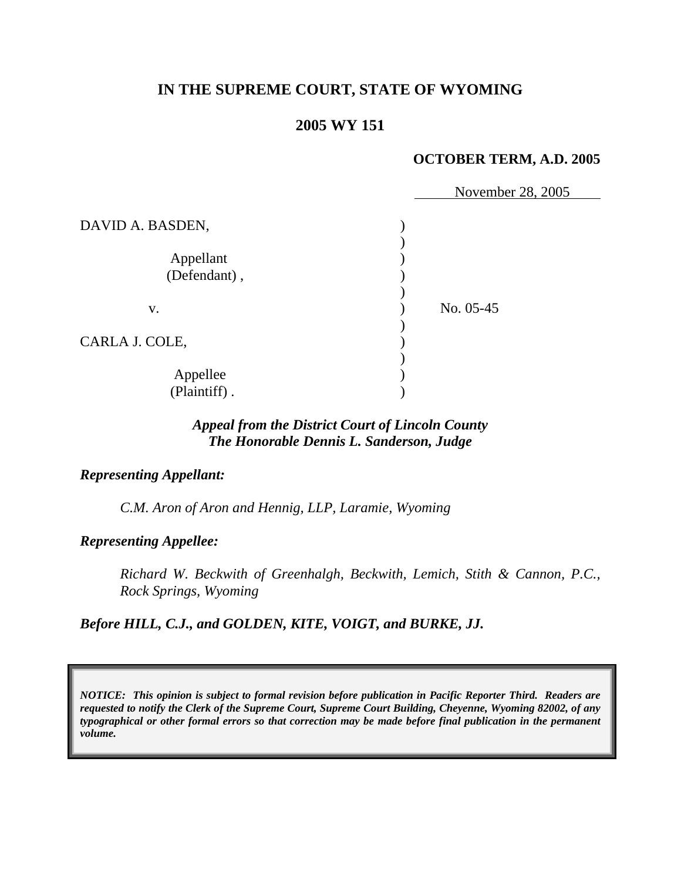# **IN THE SUPREME COURT, STATE OF WYOMING**

## **2005 WY 151**

### **OCTOBER TERM, A.D. 2005**

|                  | November 28, 2005 |  |
|------------------|-------------------|--|
| DAVID A. BASDEN, |                   |  |
|                  |                   |  |
| Appellant        |                   |  |
| (Defendant),     |                   |  |
|                  |                   |  |
| V.               | No. 05-45         |  |
|                  |                   |  |
| CARLA J. COLE,   |                   |  |
|                  |                   |  |
| Appellee         |                   |  |
| (Plaintiff).     |                   |  |

# *Appeal from the District Court of Lincoln County The Honorable Dennis L. Sanderson, Judge*

#### *Representing Appellant:*

*C.M. Aron of Aron and Hennig, LLP, Laramie, Wyoming* 

*Representing Appellee:*

*Richard W. Beckwith of Greenhalgh, Beckwith, Lemich, Stith & Cannon, P.C., Rock Springs, Wyoming* 

*Before HILL, C.J., and GOLDEN, KITE, VOIGT, and BURKE, JJ.* 

*NOTICE: This opinion is subject to formal revision before publication in Pacific Reporter Third. Readers are requested to notify the Clerk of the Supreme Court, Supreme Court Building, Cheyenne, Wyoming 82002, of any typographical or other formal errors so that correction may be made before final publication in the permanent volume.*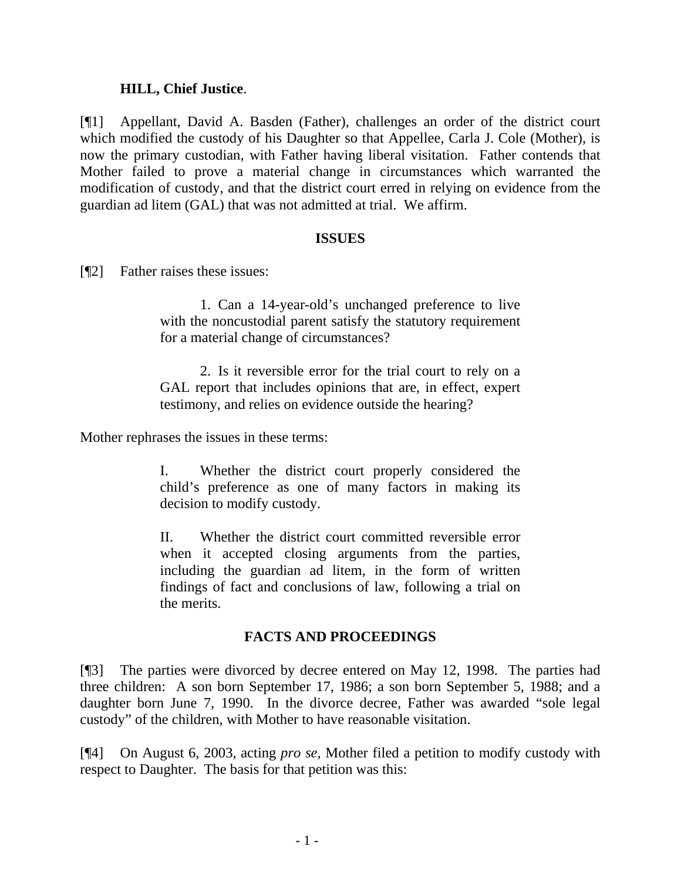### **HILL, Chief Justice**.

[¶1] Appellant, David A. Basden (Father), challenges an order of the district court which modified the custody of his Daughter so that Appellee, Carla J. Cole (Mother), is now the primary custodian, with Father having liberal visitation. Father contends that Mother failed to prove a material change in circumstances which warranted the modification of custody, and that the district court erred in relying on evidence from the guardian ad litem (GAL) that was not admitted at trial. We affirm.

#### **ISSUES**

[¶2] Father raises these issues:

 1. Can a 14-year-old's unchanged preference to live with the noncustodial parent satisfy the statutory requirement for a material change of circumstances?

 2. Is it reversible error for the trial court to rely on a GAL report that includes opinions that are, in effect, expert testimony, and relies on evidence outside the hearing?

Mother rephrases the issues in these terms:

I. Whether the district court properly considered the child's preference as one of many factors in making its decision to modify custody.

II. Whether the district court committed reversible error when it accepted closing arguments from the parties, including the guardian ad litem, in the form of written findings of fact and conclusions of law, following a trial on the merits.

### **FACTS AND PROCEEDINGS**

[¶3] The parties were divorced by decree entered on May 12, 1998. The parties had three children: A son born September 17, 1986; a son born September 5, 1988; and a daughter born June 7, 1990. In the divorce decree, Father was awarded "sole legal custody" of the children, with Mother to have reasonable visitation.

[¶4] On August 6, 2003, acting *pro se*, Mother filed a petition to modify custody with respect to Daughter. The basis for that petition was this: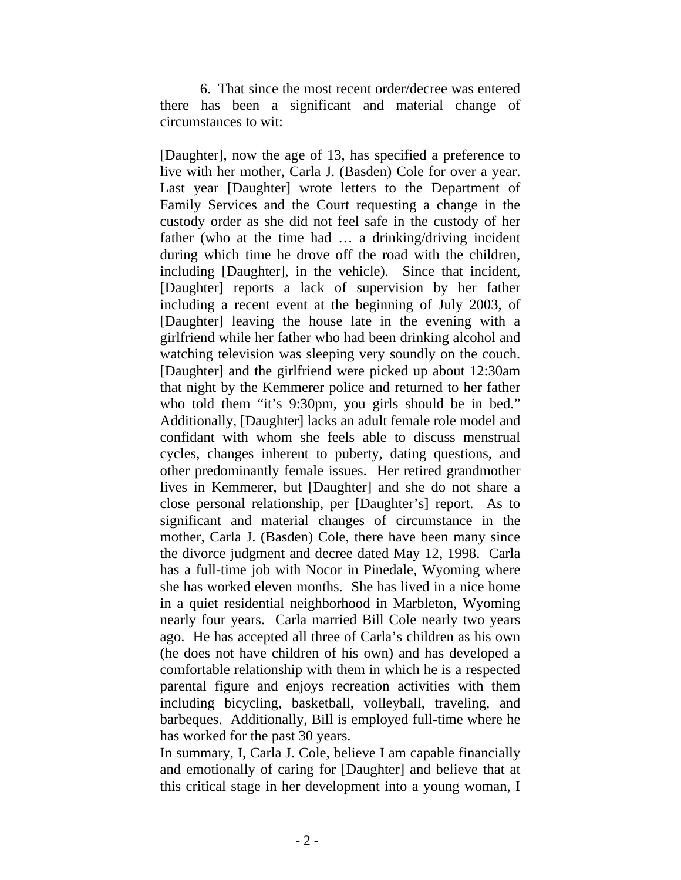6. That since the most recent order/decree was entered there has been a significant and material change of circumstances to wit:

[Daughter], now the age of 13, has specified a preference to live with her mother, Carla J. (Basden) Cole for over a year. Last year [Daughter] wrote letters to the Department of Family Services and the Court requesting a change in the custody order as she did not feel safe in the custody of her father (who at the time had ... a drinking/driving incident during which time he drove off the road with the children, including [Daughter], in the vehicle). Since that incident, [Daughter] reports a lack of supervision by her father including a recent event at the beginning of July 2003, of [Daughter] leaving the house late in the evening with a girlfriend while her father who had been drinking alcohol and watching television was sleeping very soundly on the couch. [Daughter] and the girlfriend were picked up about 12:30am that night by the Kemmerer police and returned to her father who told them "it's 9:30pm, you girls should be in bed." Additionally, [Daughter] lacks an adult female role model and confidant with whom she feels able to discuss menstrual cycles, changes inherent to puberty, dating questions, and other predominantly female issues. Her retired grandmother lives in Kemmerer, but [Daughter] and she do not share a close personal relationship, per [Daughter's] report. As to significant and material changes of circumstance in the mother, Carla J. (Basden) Cole, there have been many since the divorce judgment and decree dated May 12, 1998. Carla has a full-time job with Nocor in Pinedale, Wyoming where she has worked eleven months. She has lived in a nice home in a quiet residential neighborhood in Marbleton, Wyoming nearly four years. Carla married Bill Cole nearly two years ago. He has accepted all three of Carla's children as his own (he does not have children of his own) and has developed a comfortable relationship with them in which he is a respected parental figure and enjoys recreation activities with them including bicycling, basketball, volleyball, traveling, and barbeques. Additionally, Bill is employed full-time where he has worked for the past 30 years.

In summary, I, Carla J. Cole, believe I am capable financially and emotionally of caring for [Daughter] and believe that at this critical stage in her development into a young woman, I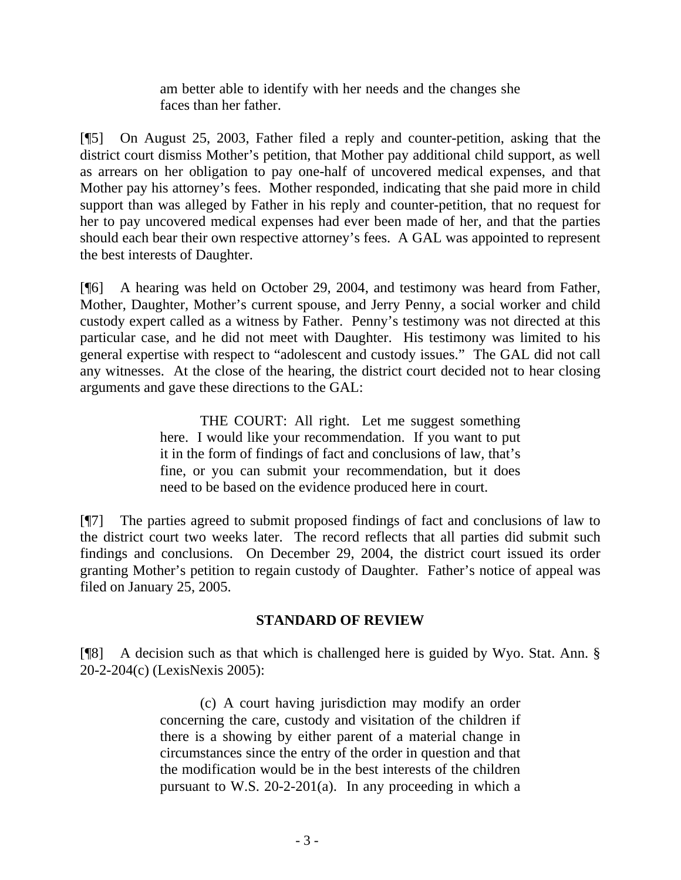am better able to identify with her needs and the changes she faces than her father.

[¶5] On August 25, 2003, Father filed a reply and counter-petition, asking that the district court dismiss Mother's petition, that Mother pay additional child support, as well as arrears on her obligation to pay one-half of uncovered medical expenses, and that Mother pay his attorney's fees. Mother responded, indicating that she paid more in child support than was alleged by Father in his reply and counter-petition, that no request for her to pay uncovered medical expenses had ever been made of her, and that the parties should each bear their own respective attorney's fees. A GAL was appointed to represent the best interests of Daughter.

[¶6] A hearing was held on October 29, 2004, and testimony was heard from Father, Mother, Daughter, Mother's current spouse, and Jerry Penny, a social worker and child custody expert called as a witness by Father. Penny's testimony was not directed at this particular case, and he did not meet with Daughter. His testimony was limited to his general expertise with respect to "adolescent and custody issues." The GAL did not call any witnesses. At the close of the hearing, the district court decided not to hear closing arguments and gave these directions to the GAL:

> THE COURT: All right. Let me suggest something here. I would like your recommendation. If you want to put it in the form of findings of fact and conclusions of law, that's fine, or you can submit your recommendation, but it does need to be based on the evidence produced here in court.

[¶7] The parties agreed to submit proposed findings of fact and conclusions of law to the district court two weeks later. The record reflects that all parties did submit such findings and conclusions. On December 29, 2004, the district court issued its order granting Mother's petition to regain custody of Daughter. Father's notice of appeal was filed on January 25, 2005.

## **STANDARD OF REVIEW**

[¶8] A decision such as that which is challenged here is guided by Wyo. Stat. Ann. § 20-2-204(c) (LexisNexis 2005):

> (c) A court having jurisdiction may modify an order concerning the care, custody and visitation of the children if there is a showing by either parent of a material change in circumstances since the entry of the order in question and that the modification would be in the best interests of the children pursuant to W.S. 20-2-201(a). In any proceeding in which a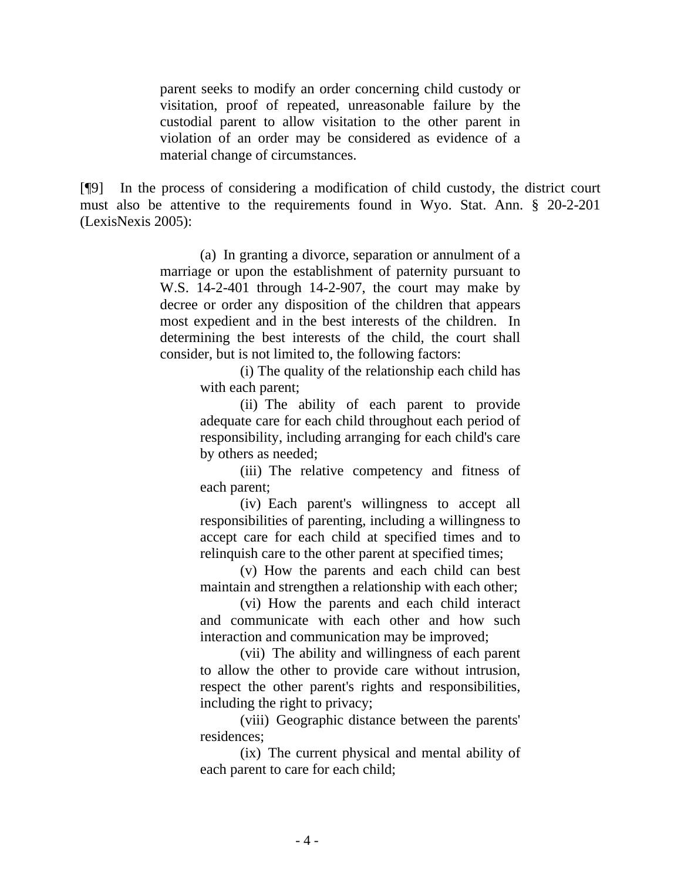parent seeks to modify an order concerning child custody or visitation, proof of repeated, unreasonable failure by the custodial parent to allow visitation to the other parent in violation of an order may be considered as evidence of a material change of circumstances.

[¶9] In the process of considering a modification of child custody, the district court must also be attentive to the requirements found in Wyo. Stat. Ann. § 20-2-201 (LexisNexis 2005):

> (a) In granting a divorce, separation or annulment of a marriage or upon the establishment of paternity pursuant to W.S. 14-2-401 through 14-2-907, the court may make by decree or order any disposition of the children that appears most expedient and in the best interests of the children. In determining the best interests of the child, the court shall consider, but is not limited to, the following factors:

> > (i) The quality of the relationship each child has with each parent;

> > (ii) The ability of each parent to provide adequate care for each child throughout each period of responsibility, including arranging for each child's care by others as needed;

> > (iii) The relative competency and fitness of each parent;

> > (iv) Each parent's willingness to accept all responsibilities of parenting, including a willingness to accept care for each child at specified times and to relinquish care to the other parent at specified times;

> > (v) How the parents and each child can best maintain and strengthen a relationship with each other;

> > (vi) How the parents and each child interact and communicate with each other and how such interaction and communication may be improved;

> > (vii) The ability and willingness of each parent to allow the other to provide care without intrusion, respect the other parent's rights and responsibilities, including the right to privacy;

> > (viii) Geographic distance between the parents' residences;

> > (ix) The current physical and mental ability of each parent to care for each child;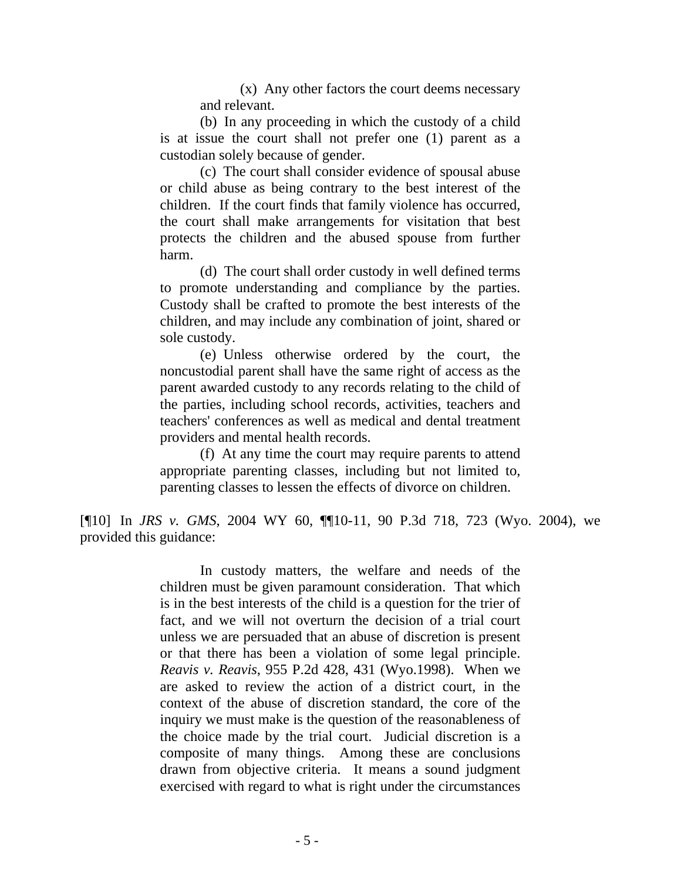(x) Any other factors the court deems necessary and relevant.

 (b) In any proceeding in which the custody of a child is at issue the court shall not prefer one (1) parent as a custodian solely because of gender.

 (c) The court shall consider evidence of spousal abuse or child abuse as being contrary to the best interest of the children. If the court finds that family violence has occurred, the court shall make arrangements for visitation that best protects the children and the abused spouse from further harm.

 (d) The court shall order custody in well defined terms to promote understanding and compliance by the parties. Custody shall be crafted to promote the best interests of the children, and may include any combination of joint, shared or sole custody.

 (e) Unless otherwise ordered by the court, the noncustodial parent shall have the same right of access as the parent awarded custody to any records relating to the child of the parties, including school records, activities, teachers and teachers' conferences as well as medical and dental treatment providers and mental health records.

 (f) At any time the court may require parents to attend appropriate parenting classes, including but not limited to, parenting classes to lessen the effects of divorce on children.

[¶10] In *JRS v. GMS*, 2004 WY 60, ¶¶10-11, 90 P.3d 718, 723 (Wyo. 2004), we provided this guidance:

> In custody matters, the welfare and needs of the children must be given paramount consideration. That which is in the best interests of the child is a question for the trier of fact, and we will not overturn the decision of a trial court unless we are persuaded that an abuse of discretion is present or that there has been a violation of some legal principle. *Reavis v. Reavis*, 955 P.2d 428, 431 (Wyo.1998). When we are asked to review the action of a district court, in the context of the abuse of discretion standard, the core of the inquiry we must make is the question of the reasonableness of the choice made by the trial court. Judicial discretion is a composite of many things. Among these are conclusions drawn from objective criteria. It means a sound judgment exercised with regard to what is right under the circumstances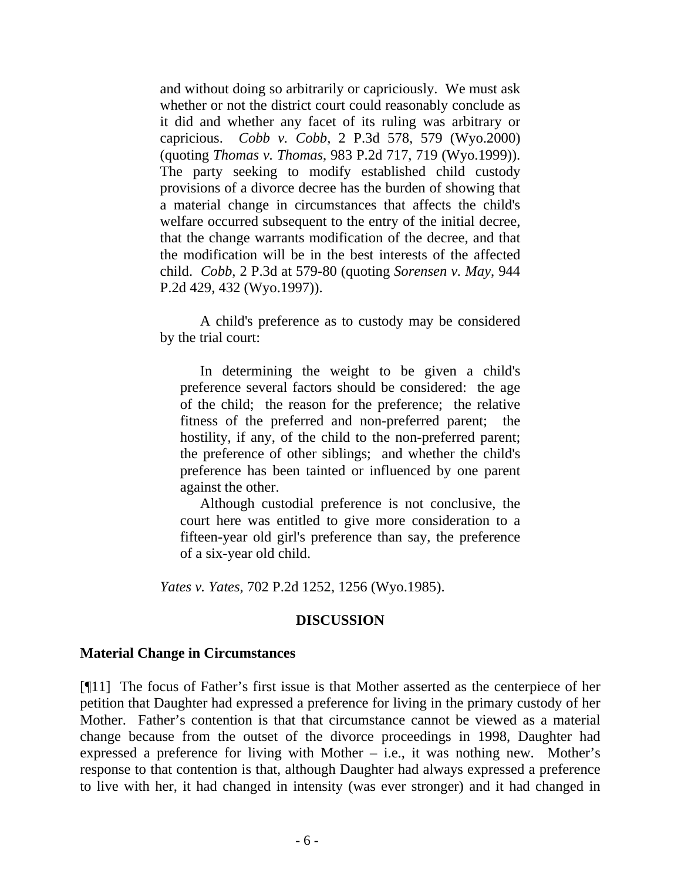and without doing so arbitrarily or capriciously. We must ask whether or not the district court could reasonably conclude as it did and whether any facet of its ruling was arbitrary or capricious. *Cobb v. Cobb*, 2 P.3d 578, 579 (Wyo.2000) (quoting *Thomas v. Thomas*, 983 P.2d 717, 719 (Wyo.1999)). The party seeking to modify established child custody provisions of a divorce decree has the burden of showing that a material change in circumstances that affects the child's welfare occurred subsequent to the entry of the initial decree, that the change warrants modification of the decree, and that the modification will be in the best interests of the affected child. *Cobb*, 2 P.3d at 579-80 (quoting *Sorensen v. May*, 944 P.2d 429, 432 (Wyo.1997)).

 A child's preference as to custody may be considered by the trial court:

 In determining the weight to be given a child's preference several factors should be considered: the age of the child; the reason for the preference; the relative fitness of the preferred and non-preferred parent; the hostility, if any, of the child to the non-preferred parent; the preference of other siblings; and whether the child's preference has been tainted or influenced by one parent against the other.

 Although custodial preference is not conclusive, the court here was entitled to give more consideration to a fifteen-year old girl's preference than say, the preference of a six-year old child.

*Yates v. Yates*, 702 P.2d 1252, 1256 (Wyo.1985).

### **DISCUSSION**

### **Material Change in Circumstances**

[¶11] The focus of Father's first issue is that Mother asserted as the centerpiece of her petition that Daughter had expressed a preference for living in the primary custody of her Mother. Father's contention is that that circumstance cannot be viewed as a material change because from the outset of the divorce proceedings in 1998, Daughter had expressed a preference for living with Mother  $-$  i.e., it was nothing new. Mother's response to that contention is that, although Daughter had always expressed a preference to live with her, it had changed in intensity (was ever stronger) and it had changed in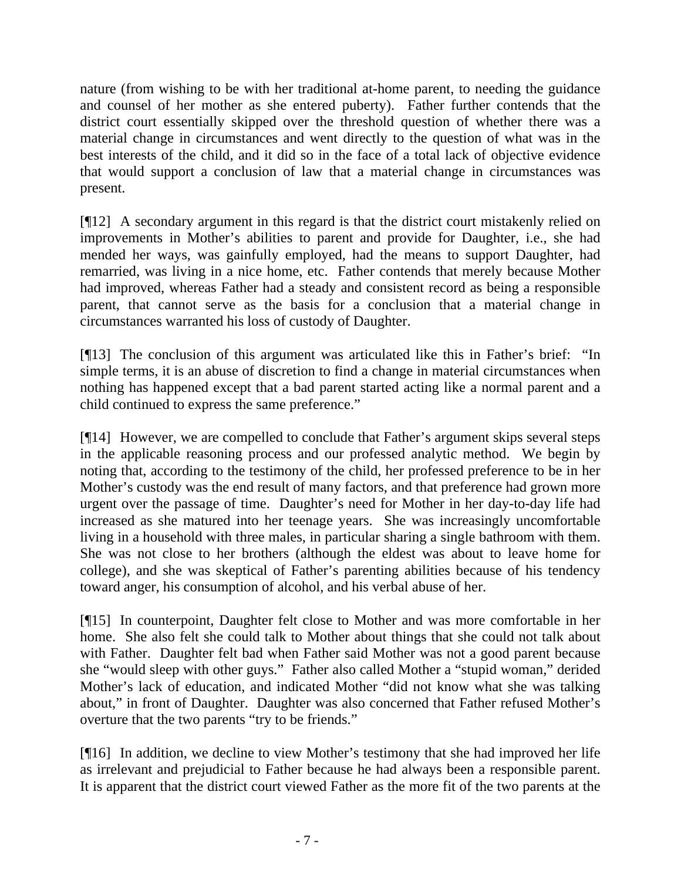nature (from wishing to be with her traditional at-home parent, to needing the guidance and counsel of her mother as she entered puberty). Father further contends that the district court essentially skipped over the threshold question of whether there was a material change in circumstances and went directly to the question of what was in the best interests of the child, and it did so in the face of a total lack of objective evidence that would support a conclusion of law that a material change in circumstances was present.

[¶12] A secondary argument in this regard is that the district court mistakenly relied on improvements in Mother's abilities to parent and provide for Daughter, i.e., she had mended her ways, was gainfully employed, had the means to support Daughter, had remarried, was living in a nice home, etc. Father contends that merely because Mother had improved, whereas Father had a steady and consistent record as being a responsible parent, that cannot serve as the basis for a conclusion that a material change in circumstances warranted his loss of custody of Daughter.

[¶13] The conclusion of this argument was articulated like this in Father's brief: "In simple terms, it is an abuse of discretion to find a change in material circumstances when nothing has happened except that a bad parent started acting like a normal parent and a child continued to express the same preference."

[¶14] However, we are compelled to conclude that Father's argument skips several steps in the applicable reasoning process and our professed analytic method. We begin by noting that, according to the testimony of the child, her professed preference to be in her Mother's custody was the end result of many factors, and that preference had grown more urgent over the passage of time. Daughter's need for Mother in her day-to-day life had increased as she matured into her teenage years. She was increasingly uncomfortable living in a household with three males, in particular sharing a single bathroom with them. She was not close to her brothers (although the eldest was about to leave home for college), and she was skeptical of Father's parenting abilities because of his tendency toward anger, his consumption of alcohol, and his verbal abuse of her.

[¶15] In counterpoint, Daughter felt close to Mother and was more comfortable in her home. She also felt she could talk to Mother about things that she could not talk about with Father. Daughter felt bad when Father said Mother was not a good parent because she "would sleep with other guys." Father also called Mother a "stupid woman," derided Mother's lack of education, and indicated Mother "did not know what she was talking about," in front of Daughter. Daughter was also concerned that Father refused Mother's overture that the two parents "try to be friends."

[¶16] In addition, we decline to view Mother's testimony that she had improved her life as irrelevant and prejudicial to Father because he had always been a responsible parent. It is apparent that the district court viewed Father as the more fit of the two parents at the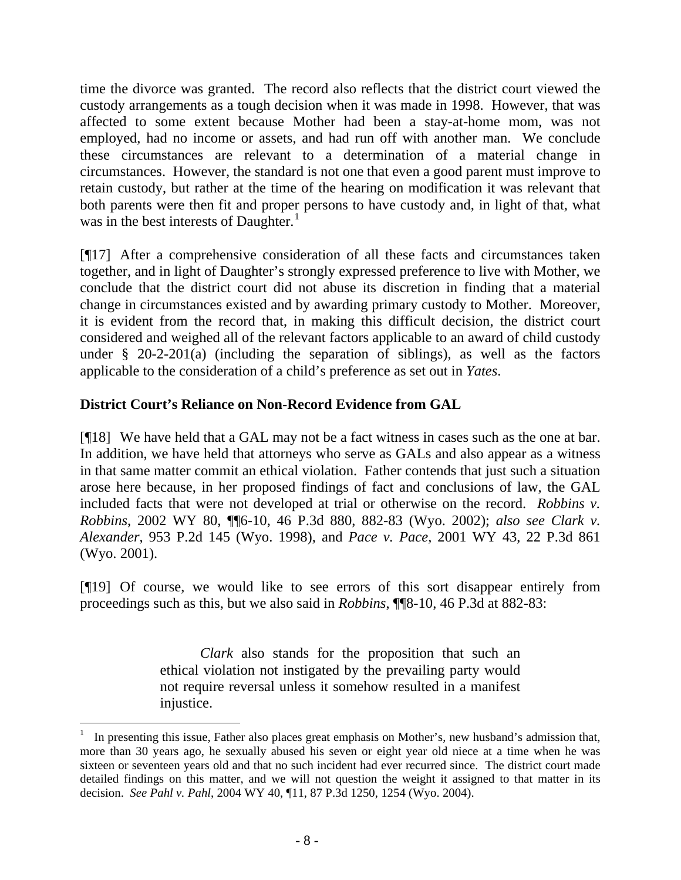time the divorce was granted. The record also reflects that the district court viewed the custody arrangements as a tough decision when it was made in 1998. However, that was affected to some extent because Mother had been a stay-at-home mom, was not employed, had no income or assets, and had run off with another man. We conclude these circumstances are relevant to a determination of a material change in circumstances. However, the standard is not one that even a good parent must improve to retain custody, but rather at the time of the hearing on modification it was relevant that both parents were then fit and proper persons to have custody and, in light of that, what was in the best interests of Daughter.<sup>[1](#page-9-0)</sup>

[¶17] After a comprehensive consideration of all these facts and circumstances taken together, and in light of Daughter's strongly expressed preference to live with Mother, we conclude that the district court did not abuse its discretion in finding that a material change in circumstances existed and by awarding primary custody to Mother. Moreover, it is evident from the record that, in making this difficult decision, the district court considered and weighed all of the relevant factors applicable to an award of child custody under § 20-2-201(a) (including the separation of siblings), as well as the factors applicable to the consideration of a child's preference as set out in *Yates*.

# **District Court's Reliance on Non-Record Evidence from GAL**

[¶18] We have held that a GAL may not be a fact witness in cases such as the one at bar. In addition, we have held that attorneys who serve as GALs and also appear as a witness in that same matter commit an ethical violation. Father contends that just such a situation arose here because, in her proposed findings of fact and conclusions of law, the GAL included facts that were not developed at trial or otherwise on the record. *Robbins v. Robbins*, 2002 WY 80, ¶¶6-10, 46 P.3d 880, 882-83 (Wyo. 2002); *also see Clark v. Alexander*, 953 P.2d 145 (Wyo. 1998), and *Pace v. Pace*, 2001 WY 43, 22 P.3d 861 (Wyo. 2001).

[¶19] Of course, we would like to see errors of this sort disappear entirely from proceedings such as this, but we also said in *Robbins*, ¶¶8-10, 46 P.3d at 882-83:

> *Clark* also stands for the proposition that such an ethical violation not instigated by the prevailing party would not require reversal unless it somehow resulted in a manifest injustice.

 $\overline{a}$ 

<span id="page-9-0"></span><sup>1</sup> In presenting this issue, Father also places great emphasis on Mother's, new husband's admission that, more than 30 years ago, he sexually abused his seven or eight year old niece at a time when he was sixteen or seventeen years old and that no such incident had ever recurred since. The district court made detailed findings on this matter, and we will not question the weight it assigned to that matter in its decision. *See Pahl v. Pahl*, 2004 WY 40, ¶11, 87 P.3d 1250, 1254 (Wyo. 2004).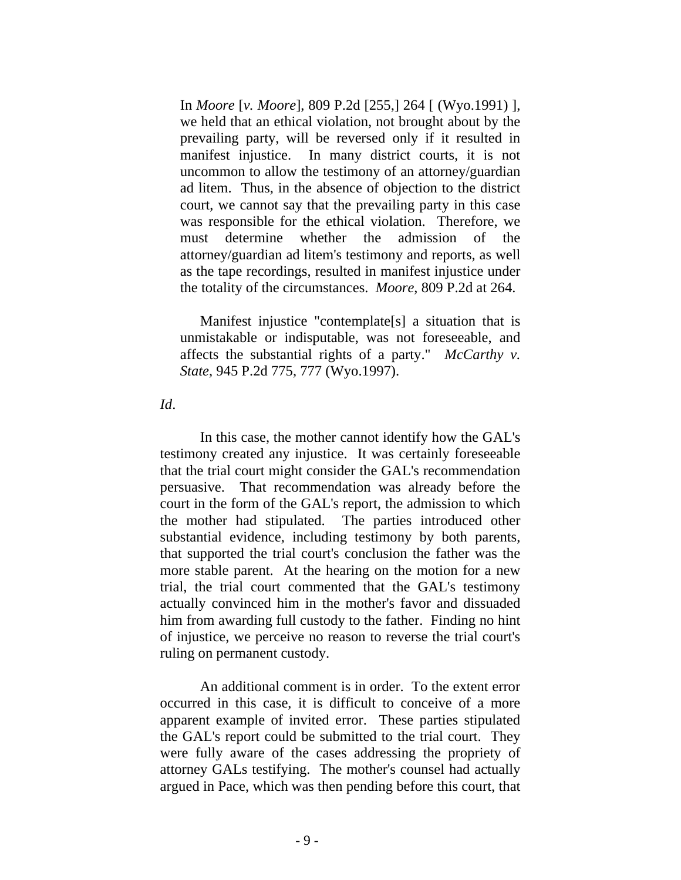In *Moore* [*v. Moore*], 809 P.2d [255,] 264 [ (Wyo.1991) ], we held that an ethical violation, not brought about by the prevailing party, will be reversed only if it resulted in manifest injustice. In many district courts, it is not uncommon to allow the testimony of an attorney/guardian ad litem. Thus, in the absence of objection to the district court, we cannot say that the prevailing party in this case was responsible for the ethical violation. Therefore, we must determine whether the admission of the attorney/guardian ad litem's testimony and reports, as well as the tape recordings, resulted in manifest injustice under the totality of the circumstances. *Moore*, 809 P.2d at 264.

 Manifest injustice "contemplate[s] a situation that is unmistakable or indisputable, was not foreseeable, and affects the substantial rights of a party." *McCarthy v. State*, 945 P.2d 775, 777 (Wyo.1997).

#### *Id*.

 In this case, the mother cannot identify how the GAL's testimony created any injustice. It was certainly foreseeable that the trial court might consider the GAL's recommendation persuasive. That recommendation was already before the court in the form of the GAL's report, the admission to which the mother had stipulated. The parties introduced other substantial evidence, including testimony by both parents, that supported the trial court's conclusion the father was the more stable parent. At the hearing on the motion for a new trial, the trial court commented that the GAL's testimony actually convinced him in the mother's favor and dissuaded him from awarding full custody to the father. Finding no hint of injustice, we perceive no reason to reverse the trial court's ruling on permanent custody.

 An additional comment is in order. To the extent error occurred in this case, it is difficult to conceive of a more apparent example of invited error. These parties stipulated the GAL's report could be submitted to the trial court. They were fully aware of the cases addressing the propriety of attorney GALs testifying. The mother's counsel had actually argued in Pace, which was then pending before this court, that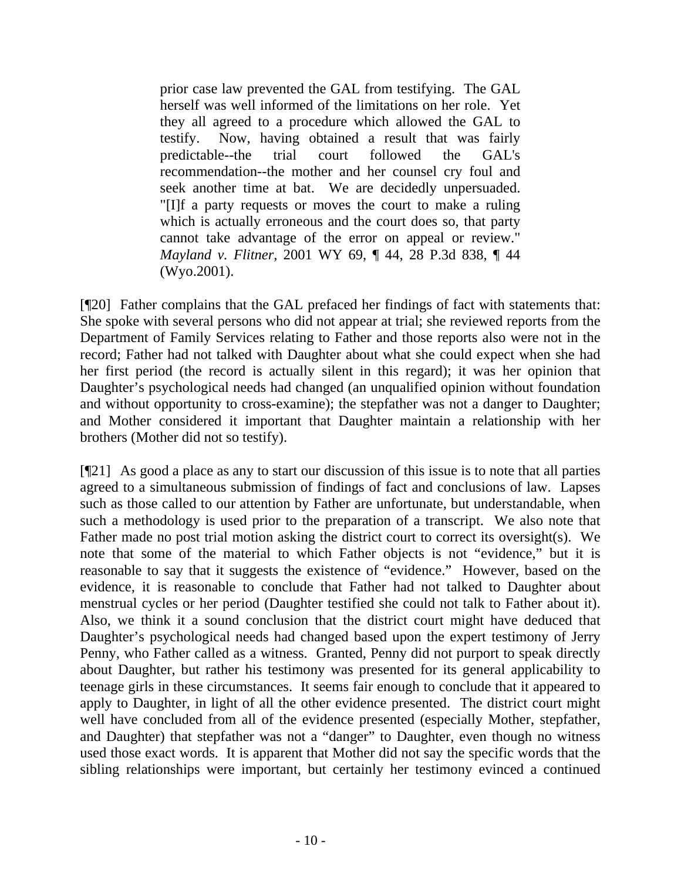prior case law prevented the GAL from testifying. The GAL herself was well informed of the limitations on her role. Yet they all agreed to a procedure which allowed the GAL to testify. Now, having obtained a result that was fairly predictable--the trial court followed the GAL's recommendation--the mother and her counsel cry foul and seek another time at bat. We are decidedly unpersuaded. "[I]f a party requests or moves the court to make a ruling which is actually erroneous and the court does so, that party cannot take advantage of the error on appeal or review." *Mayland v. Flitner*, 2001 WY 69, ¶ 44, 28 P.3d 838, ¶ 44 (Wyo.2001).

[¶20] Father complains that the GAL prefaced her findings of fact with statements that: She spoke with several persons who did not appear at trial; she reviewed reports from the Department of Family Services relating to Father and those reports also were not in the record; Father had not talked with Daughter about what she could expect when she had her first period (the record is actually silent in this regard); it was her opinion that Daughter's psychological needs had changed (an unqualified opinion without foundation and without opportunity to cross-examine); the stepfather was not a danger to Daughter; and Mother considered it important that Daughter maintain a relationship with her brothers (Mother did not so testify).

[¶21] As good a place as any to start our discussion of this issue is to note that all parties agreed to a simultaneous submission of findings of fact and conclusions of law. Lapses such as those called to our attention by Father are unfortunate, but understandable, when such a methodology is used prior to the preparation of a transcript. We also note that Father made no post trial motion asking the district court to correct its oversight(s). We note that some of the material to which Father objects is not "evidence," but it is reasonable to say that it suggests the existence of "evidence." However, based on the evidence, it is reasonable to conclude that Father had not talked to Daughter about menstrual cycles or her period (Daughter testified she could not talk to Father about it). Also, we think it a sound conclusion that the district court might have deduced that Daughter's psychological needs had changed based upon the expert testimony of Jerry Penny, who Father called as a witness. Granted, Penny did not purport to speak directly about Daughter, but rather his testimony was presented for its general applicability to teenage girls in these circumstances. It seems fair enough to conclude that it appeared to apply to Daughter, in light of all the other evidence presented. The district court might well have concluded from all of the evidence presented (especially Mother, stepfather, and Daughter) that stepfather was not a "danger" to Daughter, even though no witness used those exact words. It is apparent that Mother did not say the specific words that the sibling relationships were important, but certainly her testimony evinced a continued